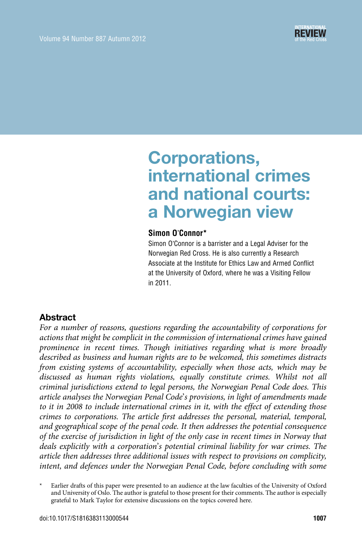

# Corporations, international crimes and national courts: a Norwegian view

#### Simon O'Connor\*

Simon O'Connor is a barrister and a Legal Adviser for the Norwegian Red Cross. He is also currently a Research Associate at the Institute for Ethics Law and Armed Conflict at the University of Oxford, where he was a Visiting Fellow in 2011.

## **Abstract**

For a number of reasons, questions regarding the accountability of corporations for actions that might be complicit in the commission of international crimes have gained prominence in recent times. Though initiatives regarding what is more broadly described as business and human rights are to be welcomed, this sometimes distracts from existing systems of accountability, especially when those acts, which may be discussed as human rights violations, equally constitute crimes. Whilst not all criminal jurisdictions extend to legal persons, the Norwegian Penal Code does. This article analyses the Norwegian Penal Code's provisions, in light of amendments made to it in 2008 to include international crimes in it, with the effect of extending those crimes to corporations. The article first addresses the personal, material, temporal, and geographical scope of the penal code. It then addresses the potential consequence of the exercise of jurisdiction in light of the only case in recent times in Norway that deals explicitly with a corporation's potential criminal liability for war crimes. The article then addresses three additional issues with respect to provisions on complicity, intent, and defences under the Norwegian Penal Code, before concluding with some

<sup>\*</sup> Earlier drafts of this paper were presented to an audience at the law faculties of the University of Oxford and University of Oslo. The author is grateful to those present for their comments. The author is especially grateful to Mark Taylor for extensive discussions on the topics covered here.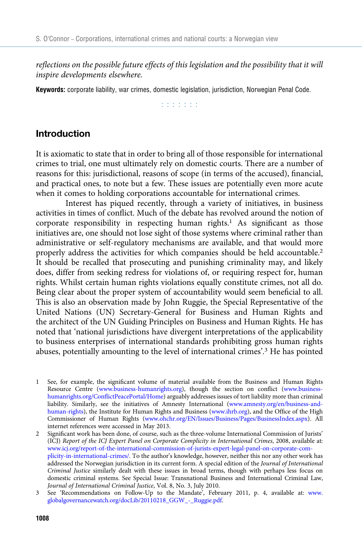reflections on the possible future effects of this legislation and the possibility that it will inspire developments elsewhere.

Keywords: corporate liability, war crimes, domestic legislation, jurisdiction, Norwegian Penal Code.

r r r r r r r

# Introduction

It is axiomatic to state that in order to bring all of those responsible for international crimes to trial, one must ultimately rely on domestic courts. There are a number of reasons for this: jurisdictional, reasons of scope (in terms of the accused), financial, and practical ones, to note but a few. These issues are potentially even more acute when it comes to holding corporations accountable for international crimes.

Interest has piqued recently, through a variety of initiatives, in business activities in times of conflict. Much of the debate has revolved around the notion of corporate responsibility in respecting human rights.<sup>1</sup> As significant as those initiatives are, one should not lose sight of those systems where criminal rather than administrative or self-regulatory mechanisms are available, and that would more properly address the activities for which companies should be held accountable.<sup>2</sup> It should be recalled that prosecuting and punishing criminality may, and likely does, differ from seeking redress for violations of, or requiring respect for, human rights. Whilst certain human rights violations equally constitute crimes, not all do. Being clear about the proper system of accountability would seem beneficial to all. This is also an observation made by John Ruggie, the Special Representative of the United Nations (UN) Secretary-General for Business and Human Rights and the architect of the UN Guiding Principles on Business and Human Rights. He has noted that 'national jurisdictions have divergent interpretations of the applicability to business enterprises of international standards prohibiting gross human rights abuses, potentially amounting to the level of international crimes'. <sup>3</sup> He has pointed

1 See, for example, the significant volume of material available from the Business and Human Rights Resource Centre ([www.business-humanrights.org](http://www.business-humanrights.org)), though the section on conflict [\(www.business](http://www.business-humanrights.org/ConflictPeacePortal/Home)[humanrights.org/Con](http://www.business-humanrights.org/ConflictPeacePortal/Home)flictPeacePortal/Home) arguably addresses issues of tort liability more than criminal liability. Similarly, see the initiatives of Amnesty International ([www.amnesty.org/en/business-and](http://www.amnesty.org/en/business-and-human-rights)[human-rights](http://www.amnesty.org/en/business-and-human-rights)), the Institute for Human Rights and Business [\(www.ihrb.org\)](http://www.ihrb.org), and the Office of the High Commissioner of Human Rights ([www.ohchr.org/EN/Issues/Business/Pages/BusinessIndex.aspx](http://www.ohchr.org/EN/Issues/Business/Pages/BusinessIndex.aspx)). All internet references were accessed in May 2013.

2 Significant work has been done, of course, such as the three-volume International Commission of Jurists' (ICJ) Report of the ICJ Expert Panel on Corporate Complicity in International Crimes, 2008, available at: [www.icj.org/report-of-the-international-commission-of-jurists-expert-legal-panel-on-corporate-com](http://www.icj.org/report-of-the-international-commission-of-jurists-expert-legal-panel-on-corporate-complicity-in-international-crimes/)[plicity-in-international-crimes/.](http://www.icj.org/report-of-the-international-commission-of-jurists-expert-legal-panel-on-corporate-complicity-in-international-crimes/) To the author's knowledge, however, neither this nor any other work has addressed the Norwegian jurisdiction in its current form. A special edition of the Journal of International Criminal Justice similarly dealt with these issues in broad terms, though with perhaps less focus on domestic criminal systems. See Special Issue: Transnational Business and International Criminal Law, Journal of International Criminal Justice, Vol. 8, No. 3, July 2010.

<sup>3</sup> See 'Recommendations on Follow-Up to the Mandate', February 2011, p. 4, available at: [www.](http://www.globalgovernancewatch.org/docLib/20110218_GGW_-_Ruggie.pdf) [globalgovernancewatch.org/docLib/20110218\\_GGW\\_-\\_Ruggie.pdf](http://www.globalgovernancewatch.org/docLib/20110218_GGW_-_Ruggie.pdf).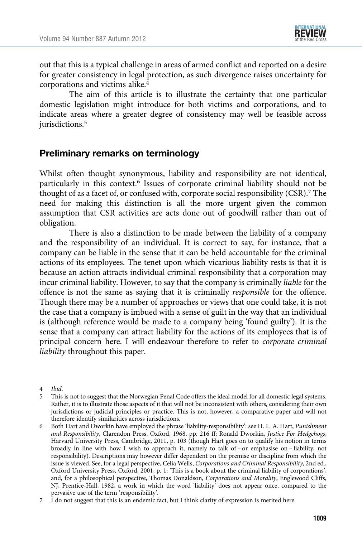

out that this is a typical challenge in areas of armed conflict and reported on a desire for greater consistency in legal protection, as such divergence raises uncertainty for corporations and victims alike.<sup>4</sup>

The aim of this article is to illustrate the certainty that one particular domestic legislation might introduce for both victims and corporations, and to indicate areas where a greater degree of consistency may well be feasible across jurisdictions.<sup>5</sup>

## Preliminary remarks on terminology

Whilst often thought synonymous, liability and responsibility are not identical, particularly in this context.6 Issues of corporate criminal liability should not be thought of as a facet of, or confused with, corporate social responsibility (CSR).7 The need for making this distinction is all the more urgent given the common assumption that CSR activities are acts done out of goodwill rather than out of obligation.

There is also a distinction to be made between the liability of a company and the responsibility of an individual. It is correct to say, for instance, that a company can be liable in the sense that it can be held accountable for the criminal actions of its employees. The tenet upon which vicarious liability rests is that it is because an action attracts individual criminal responsibility that a corporation may incur criminal liability. However, to say that the company is criminally *liable* for the offence is not the same as saying that it is criminally responsible for the offence. Though there may be a number of approaches or views that one could take, it is not the case that a company is imbued with a sense of guilt in the way that an individual is (although reference would be made to a company being 'found guilty'). It is the sense that a company can attract liability for the actions of its employees that is of principal concern here. I will endeavour therefore to refer to corporate criminal liability throughout this paper.

<sup>4</sup> Ibid.

<sup>5</sup> This is not to suggest that the Norwegian Penal Code offers the ideal model for all domestic legal systems. Rather, it is to illustrate those aspects of it that will not be inconsistent with others, considering their own jurisdictions or judicial principles or practice. This is not, however, a comparative paper and will not therefore identify similarities across jurisdictions.

<sup>6</sup> Both Hart and Dworkin have employed the phrase 'liability-responsibility': see H. L. A. Hart, Punishment and Responsibility, Clarendon Press, Oxford, 1968, pp. 216 ff; Ronald Dworkin, Justice For Hedgehogs, Harvard University Press, Cambridge, 2011, p. 103 (though Hart goes on to qualify his notion in terms broadly in line with how I wish to approach it, namely to talk of – or emphasise on – liability, not responsibility). Descriptions may however differ dependent on the premise or discipline from which the issue is viewed. See, for a legal perspective, Celia Wells, Corporations and Criminal Responsibility, 2nd ed., Oxford University Press, Oxford, 2001, p. 1: 'This is a book about the criminal liability of corporations', and, for a philosophical perspective, Thomas Donaldson, Corporations and Morality, Englewood Cliffs, NJ, Prentice-Hall, 1982, a work in which the word 'liability' does not appear once, compared to the pervasive use of the term 'responsibility'.

<sup>7</sup> I do not suggest that this is an endemic fact, but I think clarity of expression is merited here.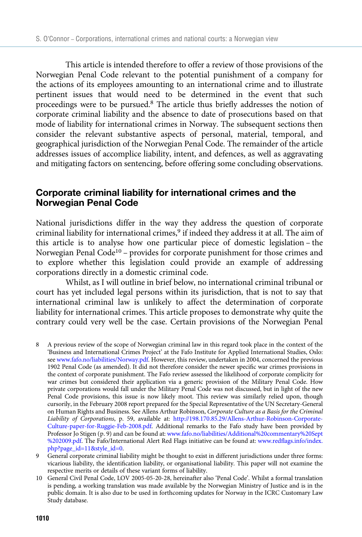This article is intended therefore to offer a review of those provisions of the Norwegian Penal Code relevant to the potential punishment of a company for the actions of its employees amounting to an international crime and to illustrate pertinent issues that would need to be determined in the event that such proceedings were to be pursued.8 The article thus briefly addresses the notion of corporate criminal liability and the absence to date of prosecutions based on that mode of liability for international crimes in Norway. The subsequent sections then consider the relevant substantive aspects of personal, material, temporal, and geographical jurisdiction of the Norwegian Penal Code. The remainder of the article addresses issues of accomplice liability, intent, and defences, as well as aggravating and mitigating factors on sentencing, before offering some concluding observations.

## Corporate criminal liability for international crimes and the Norwegian Penal Code

National jurisdictions differ in the way they address the question of corporate criminal liability for international crimes,<sup>9</sup> if indeed they address it at all. The aim of this article is to analyse how one particular piece of domestic legislation – the Norwegian Penal Code<sup>10</sup> – provides for corporate punishment for those crimes and to explore whether this legislation could provide an example of addressing corporations directly in a domestic criminal code.

Whilst, as I will outline in brief below, no international criminal tribunal or court has yet included legal persons within its jurisdiction, that is not to say that international criminal law is unlikely to affect the determination of corporate liability for international crimes. This article proposes to demonstrate why quite the contrary could very well be the case. Certain provisions of the Norwegian Penal

8 A previous review of the scope of Norwegian criminal law in this regard took place in the context of the 'Business and International Crimes Project' at the Fafo Institute for Applied International Studies, Oslo: see [www.fafo.no/liabilities/Norway.pdf.](http://www.fafo.no/liabilities/Norway.pdf) However, this review, undertaken in 2004, concerned the previous 1902 Penal Code (as amended). It did not therefore consider the newer specific war crimes provisions in the context of corporate punishment. The Fafo review assessed the likelihood of corporate complicity for war crimes but considered their application via a generic provision of the Military Penal Code. How private corporations would fall under the Military Penal Code was not discussed, but in light of the new Penal Code provisions, this issue is now likely moot. This review was similarly relied upon, though cursorily, in the February 2008 report prepared for the Special Representative of the UN Secretary-General on Human Rights and Business. See Allens Arthur Robinson, Corporate Culture as a Basis for the Criminal Liability of Corporations, p. 59, available at: [http://198.170.85.29/Allens-Arthur-Robinson-Corporate-](http://198.170.85.29/Allens-Arthur-Robinson-Corporate-Culture-paper-for-Ruggie-Feb-2008.pdf)[Culture-paper-for-Ruggie-Feb-2008.pdf.](http://198.170.85.29/Allens-Arthur-Robinson-Corporate-Culture-paper-for-Ruggie-Feb-2008.pdf) Additional remarks to the Fafo study have been provided by Professor Jo Stigen (p. 9) and can be found at: [www.fafo.no/liabilities/Additional%20commentary%20Sept](http://www.fafo.no/liabilities/Additional%20commentary%20Sept%202009.pdf) [%202009.pdf.](http://www.fafo.no/liabilities/Additional%20commentary%20Sept%202009.pdf) The Fafo/International Alert Red Flags initiative can be found at: www.redfl[ags.info/index.](http://www.redflags.info/index.php?page_id=11&style_id=0) [php?page\\_id=11&style\\_id=0.](http://www.redflags.info/index.php?page_id=11&style_id=0)

<sup>9</sup> General corporate criminal liability might be thought to exist in different jurisdictions under three forms: vicarious liability, the identification liability, or organisational liability. This paper will not examine the respective merits or details of these variant forms of liability.

<sup>10</sup> General Civil Penal Code, LOV 2005-05-20-28, hereinafter also 'Penal Code'. Whilst a formal translation is pending, a working translation was made available by the Norwegian Ministry of Justice and is in the public domain. It is also due to be used in forthcoming updates for Norway in the ICRC Customary Law Study database.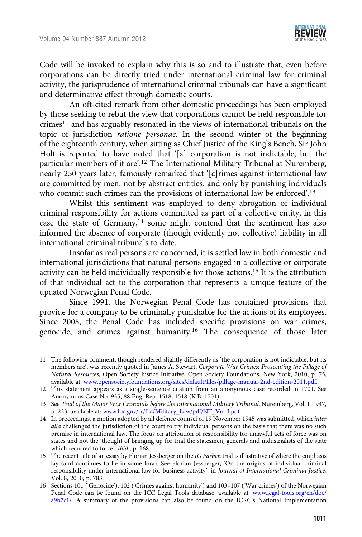Code will be invoked to explain why this is so and to illustrate that, even before corporations can be directly tried under international criminal law for criminal activity, the jurisprudence of international criminal tribunals can have a significant and determinative effect through domestic courts.

An oft-cited remark from other domestic proceedings has been employed by those seeking to rebut the view that corporations cannot be held responsible for crimes11 and has arguably resonated in the views of international tribunals on the topic of jurisdiction ratione personae. In the second winter of the beginning of the eighteenth century, when sitting as Chief Justice of the King's Bench, Sir John Holt is reported to have noted that '[a] corporation is not indictable, but the particular members of it are'.<sup>12</sup> The International Military Tribunal at Nuremberg, nearly 250 years later, famously remarked that '[c]rimes against international law are committed by men, not by abstract entities, and only by punishing individuals who commit such crimes can the provisions of international law be enforced'.<sup>13</sup>

Whilst this sentiment was employed to deny abrogation of individual criminal responsibility for actions committed as part of a collective entity, in this case the state of Germany,<sup>14</sup> some might contend that the sentiment has also informed the absence of corporate (though evidently not collective) liability in all international criminal tribunals to date.

Insofar as real persons are concerned, it is settled law in both domestic and international jurisdictions that natural persons engaged in a collective or corporate activity can be held individually responsible for those actions.15 It is the attribution of that individual act to the corporation that represents a unique feature of the updated Norwegian Penal Code.

Since 1991, the Norwegian Penal Code has contained provisions that provide for a company to be criminally punishable for the actions of its employees. Since 2008, the Penal Code has included specific provisions on war crimes, genocide, and crimes against humanity.<sup>16</sup> The consequence of those later

13 See Trial of the Major War Criminals before the International Military Tribunal, Nuremberg, Vol. I, 1947, p. 223, available at: [www.loc.gov/rr/frd/Military\\_Law/pdf/NT\\_Vol-I.pdf.](http://www.loc.gov/rr/frd/Military_Law/pdf/NT_Vol-I.pdf)

- 14 In proceedings, a motion adopted by all defence counsel of 19 November 1945 was submitted, which inter alia challenged the jurisdiction of the court to try individual persons on the basis that there was no such premise in international law. The focus on attribution of responsibility for unlawful acts of force was on states and not the 'thought of bringing up for trial the statesmen, generals and industrialists of the state which recurred to force'. Ibid., p. 168.
- 15 The recent title of an essay by Florian Jessberger on the IG Farben trial is illustrative of where the emphasis lay (and continues to lie in some fora). See Florian Jessberger, 'On the origins of individual criminal responsibility under international law for business activity', in Journal of International Criminal Justice, Vol. 8, 2010, p. 783.
- 16 Sections 101 ('Genocide'), 102 ('Crimes against humanity') and 103–107 ('War crimes') of the Norwegian Penal Code can be found on the ICC Legal Tools database, available at: [www.legal-tools.org/en/doc/](http://www.legal-tools.org/en/doc/a9b7c1/) [a9b7c1/.](http://www.legal-tools.org/en/doc/a9b7c1/) A summary of the provisions can also be found on the ICRC's National Implementation

<sup>11</sup> The following comment, though rendered slightly differently as 'the corporation is not indictable, but its members are', was recently quoted in James A. Stewart, Corporate War Crimes: Prosecuting the Pillage of Natural Resources, Open Society Justice Initiative, Open Society Foundations, New York, 2010, p. 75, available at: [www.opensocietyfoundations.org/sites/default/](http://www.opensocietyfoundations.org/sites/default/files/pillage-manual-2nd-edition-2011.pdf)files/pillage-manual-2nd-edition-2011.pdf.

<sup>12</sup> This statement appears as a single-sentence citation from an anonymous case recorded in 1701. See Anonymous Case No. 935, 88 Eng. Rep. 1518, 1518 (K.B. 1701).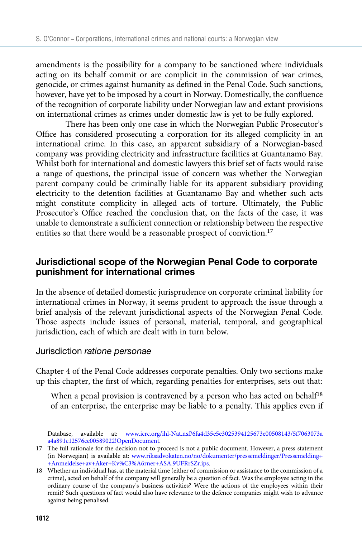amendments is the possibility for a company to be sanctioned where individuals acting on its behalf commit or are complicit in the commission of war crimes, genocide, or crimes against humanity as defined in the Penal Code. Such sanctions, however, have yet to be imposed by a court in Norway. Domestically, the confluence of the recognition of corporate liability under Norwegian law and extant provisions on international crimes as crimes under domestic law is yet to be fully explored.

There has been only one case in which the Norwegian Public Prosecutor's Office has considered prosecuting a corporation for its alleged complicity in an international crime. In this case, an apparent subsidiary of a Norwegian-based company was providing electricity and infrastructure facilities at Guantanamo Bay. Whilst both for international and domestic lawyers this brief set of facts would raise a range of questions, the principal issue of concern was whether the Norwegian parent company could be criminally liable for its apparent subsidiary providing electricity to the detention facilities at Guantanamo Bay and whether such acts might constitute complicity in alleged acts of torture. Ultimately, the Public Prosecutor's Office reached the conclusion that, on the facts of the case, it was unable to demonstrate a sufficient connection or relationship between the respective entities so that there would be a reasonable prospect of conviction.<sup>17</sup>

# Jurisdictional scope of the Norwegian Penal Code to corporate punishment for international crimes

In the absence of detailed domestic jurisprudence on corporate criminal liability for international crimes in Norway, it seems prudent to approach the issue through a brief analysis of the relevant jurisdictional aspects of the Norwegian Penal Code. Those aspects include issues of personal, material, temporal, and geographical jurisdiction, each of which are dealt with in turn below.

### Jurisdiction ratione personae

Chapter 4 of the Penal Code addresses corporate penalties. Only two sections make up this chapter, the first of which, regarding penalties for enterprises, sets out that:

When a penal provision is contravened by a person who has acted on behalf<sup>18</sup> of an enterprise, the enterprise may be liable to a penalty. This applies even if

Database, available at: [www.icrc.org/ihl-Nat.nsf/6fa4d35e5e3025394125673e00508143/5f7063073a](http://www.icrc.org/ihl-Nat.nsf/6fa4d35e5e3025394125673e00508143/5f7063073aa4a891c12576ce00589022!OpenDocument) [a4a891c12576ce00589022!OpenDocument](http://www.icrc.org/ihl-Nat.nsf/6fa4d35e5e3025394125673e00508143/5f7063073aa4a891c12576ce00589022!OpenDocument).

<sup>17</sup> The full rationale for the decision not to proceed is not a public document. However, a press statement (in Norwegian) is available at: [www.riksadvokaten.no/no/dokumenter/pressemeldinger/Pressemelding+](http://www.riksadvokaten.no/no/dokumenter/pressemeldinger/Pressemelding++Anmeldelse+av+Aker+Kv%C3%A6rner+ASA.9UFRrSZr.ips) [+Anmeldelse+av+Aker+Kv%C3%A6rner+ASA.9UFRrSZr.ips](http://www.riksadvokaten.no/no/dokumenter/pressemeldinger/Pressemelding++Anmeldelse+av+Aker+Kv%C3%A6rner+ASA.9UFRrSZr.ips).

<sup>18</sup> Whether an individual has, at the material time (either of commission or assistance to the commission of a crime), acted on behalf of the company will generally be a question of fact. Was the employee acting in the ordinary course of the company's business activities? Were the actions of the employees within their remit? Such questions of fact would also have relevance to the defence companies might wish to advance against being penalised.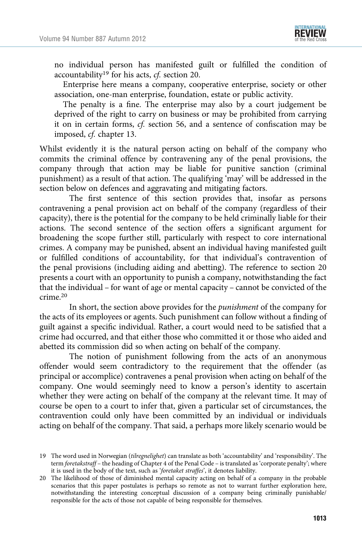no individual person has manifested guilt or fulfilled the condition of accountability<sup>19</sup> for his acts, cf. section 20.

Enterprise here means a company, cooperative enterprise, society or other association, one-man enterprise, foundation, estate or public activity.

The penalty is a fine. The enterprise may also by a court judgement be deprived of the right to carry on business or may be prohibited from carrying it on in certain forms, cf. section 56, and a sentence of confiscation may be imposed, cf. chapter 13.

Whilst evidently it is the natural person acting on behalf of the company who commits the criminal offence by contravening any of the penal provisions, the company through that action may be liable for punitive sanction (criminal punishment) as a result of that action. The qualifying 'may' will be addressed in the section below on defences and aggravating and mitigating factors.

The first sentence of this section provides that, insofar as persons contravening a penal provision act on behalf of the company (regardless of their capacity), there is the potential for the company to be held criminally liable for their actions. The second sentence of the section offers a significant argument for broadening the scope further still, particularly with respect to core international crimes. A company may be punished, absent an individual having manifested guilt or fulfilled conditions of accountability, for that individual's contravention of the penal provisions (including aiding and abetting). The reference to section 20 presents a court with an opportunity to punish a company, notwithstanding the fact that the individual – for want of age or mental capacity – cannot be convicted of the crime.20

In short, the section above provides for the punishment of the company for the acts of its employees or agents. Such punishment can follow without a finding of guilt against a specific individual. Rather, a court would need to be satisfied that a crime had occurred, and that either those who committed it or those who aided and abetted its commission did so when acting on behalf of the company.

The notion of punishment following from the acts of an anonymous offender would seem contradictory to the requirement that the offender (as principal or accomplice) contravenes a penal provision when acting on behalf of the company. One would seemingly need to know a person's identity to ascertain whether they were acting on behalf of the company at the relevant time. It may of course be open to a court to infer that, given a particular set of circumstances, the contravention could only have been committed by an individual or individuals acting on behalf of the company. That said, a perhaps more likely scenario would be

<sup>19</sup> The word used in Norwegian (tilregnelighet) can translate as both 'accountability' and 'responsibility'. The term foretakstraff – the heading of Chapter 4 of the Penal Code – is translated as 'corporate penalty'; where it is used in the body of the text, such as 'foretaket straffes', it denotes liability.

<sup>20</sup> The likelihood of those of diminished mental capacity acting on behalf of a company in the probable scenarios that this paper postulates is perhaps so remote as not to warrant further exploration here, notwithstanding the interesting conceptual discussion of a company being criminally punishable/ responsible for the acts of those not capable of being responsible for themselves.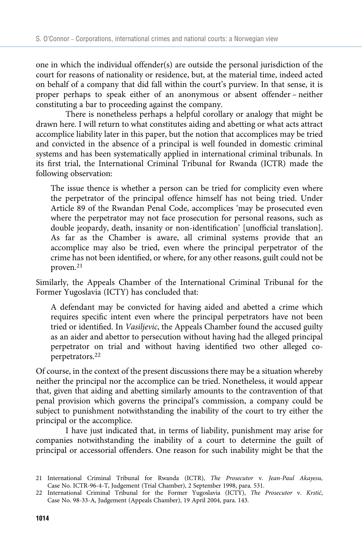one in which the individual offender(s) are outside the personal jurisdiction of the court for reasons of nationality or residence, but, at the material time, indeed acted on behalf of a company that did fall within the court's purview. In that sense, it is proper perhaps to speak either of an anonymous or absent offender – neither constituting a bar to proceeding against the company.

There is nonetheless perhaps a helpful corollary or analogy that might be drawn here. I will return to what constitutes aiding and abetting or what acts attract accomplice liability later in this paper, but the notion that accomplices may be tried and convicted in the absence of a principal is well founded in domestic criminal systems and has been systematically applied in international criminal tribunals. In its first trial, the International Criminal Tribunal for Rwanda (ICTR) made the following observation:

The issue thence is whether a person can be tried for complicity even where the perpetrator of the principal offence himself has not being tried. Under Article 89 of the Rwandan Penal Code, accomplices 'may be prosecuted even where the perpetrator may not face prosecution for personal reasons, such as double jeopardy, death, insanity or non-identification' [unofficial translation]. As far as the Chamber is aware, all criminal systems provide that an accomplice may also be tried, even where the principal perpetrator of the crime has not been identified, or where, for any other reasons, guilt could not be proven.<sup>21</sup>

Similarly, the Appeals Chamber of the International Criminal Tribunal for the Former Yugoslavia (ICTY) has concluded that:

A defendant may be convicted for having aided and abetted a crime which requires specific intent even where the principal perpetrators have not been tried or identified. In Vasiljevic, the Appeals Chamber found the accused guilty as an aider and abettor to persecution without having had the alleged principal perpetrator on trial and without having identified two other alleged coperpetrators.<sup>22</sup>

Of course, in the context of the present discussions there may be a situation whereby neither the principal nor the accomplice can be tried. Nonetheless, it would appear that, given that aiding and abetting similarly amounts to the contravention of that penal provision which governs the principal's commission, a company could be subject to punishment notwithstanding the inability of the court to try either the principal or the accomplice.

I have just indicated that, in terms of liability, punishment may arise for companies notwithstanding the inability of a court to determine the guilt of principal or accessorial offenders. One reason for such inability might be that the

<sup>21</sup> International Criminal Tribunal for Rwanda (ICTR), The Prosecutor v. Jean-Paul Akayesu, Case No. ICTR-96-4-T, Judgement (Trial Chamber), 2 September 1998, para. 531.

<sup>22</sup> International Criminal Tribunal for the Former Yugoslavia (ICTY), The Prosecutor v. Krstić, Case No. 98-33-A, Judgement (Appeals Chamber), 19 April 2004, para. 143.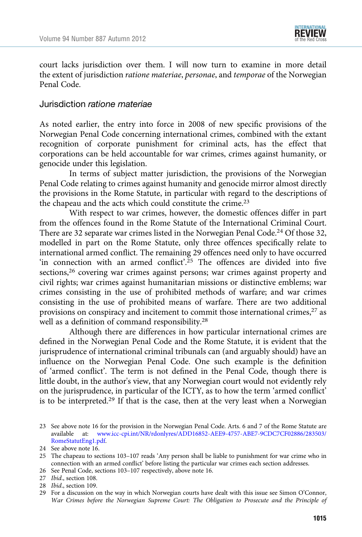

court lacks jurisdiction over them. I will now turn to examine in more detail the extent of jurisdiction ratione materiae, personae, and temporae of the Norwegian Penal Code.

#### Jurisdiction ratione materiae

As noted earlier, the entry into force in 2008 of new specific provisions of the Norwegian Penal Code concerning international crimes, combined with the extant recognition of corporate punishment for criminal acts, has the effect that corporations can be held accountable for war crimes, crimes against humanity, or genocide under this legislation.

In terms of subject matter jurisdiction, the provisions of the Norwegian Penal Code relating to crimes against humanity and genocide mirror almost directly the provisions in the Rome Statute, in particular with regard to the descriptions of the chapeau and the acts which could constitute the crime.<sup>23</sup>

With respect to war crimes, however, the domestic offences differ in part from the offences found in the Rome Statute of the International Criminal Court. There are 32 separate war crimes listed in the Norwegian Penal Code.<sup>24</sup> Of those 32, modelled in part on the Rome Statute, only three offences specifically relate to international armed conflict. The remaining 29 offences need only to have occurred 'in connection with an armed conflict'.<sup>25</sup> The offences are divided into five sections,<sup>26</sup> covering war crimes against persons; war crimes against property and civil rights; war crimes against humanitarian missions or distinctive emblems; war crimes consisting in the use of prohibited methods of warfare; and war crimes consisting in the use of prohibited means of warfare. There are two additional provisions on conspiracy and incitement to commit those international crimes,27 as well as a definition of command responsibility.28

Although there are differences in how particular international crimes are defined in the Norwegian Penal Code and the Rome Statute, it is evident that the jurisprudence of international criminal tribunals can (and arguably should) have an influence on the Norwegian Penal Code. One such example is the definition of 'armed conflict'. The term is not defined in the Penal Code, though there is little doubt, in the author's view, that any Norwegian court would not evidently rely on the jurisprudence, in particular of the ICTY, as to how the term 'armed conflict' is to be interpreted.29 If that is the case, then at the very least when a Norwegian

- 25 The chapeau to sections 103–107 reads 'Any person shall be liable to punishment for war crime who in connection with an armed conflict' before listing the particular war crimes each section addresses.
- 26 See Penal Code, sections 103–107 respectively, above note 16.
- 27 Ibid., section 108.
- 28 Ibid., section 109.

<sup>23</sup> See above note 16 for the provision in the Norwegian Penal Code. Arts. 6 and 7 of the Rome Statute are available at: [www.icc-cpi.int/NR/rdonlyres/ADD16852-AEE9-4757-ABE7-9CDC7CF02886/283503/](http://www.icc-cpi.int/NR/rdonlyres/ADD16852-AEE9-4757-ABE7-9CDC7CF02886/283503/RomeStatutEng1.pdf) [RomeStatutEng1.pdf.](http://www.icc-cpi.int/NR/rdonlyres/ADD16852-AEE9-4757-ABE7-9CDC7CF02886/283503/RomeStatutEng1.pdf)

<sup>24</sup> See above note 16.

<sup>29</sup> For a discussion on the way in which Norwegian courts have dealt with this issue see Simon O'Connor, War Crimes before the Norwegian Supreme Court: The Obligation to Prosecute and the Principle of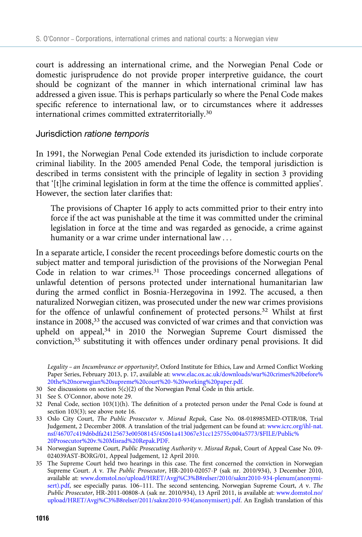court is addressing an international crime, and the Norwegian Penal Code or domestic jurisprudence do not provide proper interpretive guidance, the court should be cognizant of the manner in which international criminal law has addressed a given issue. This is perhaps particularly so where the Penal Code makes specific reference to international law, or to circumstances where it addresses international crimes committed extraterritorially.<sup>30</sup>

#### Jurisdiction ratione temporis

In 1991, the Norwegian Penal Code extended its jurisdiction to include corporate criminal liability. In the 2005 amended Penal Code, the temporal jurisdiction is described in terms consistent with the principle of legality in section 3 providing that '[t]he criminal legislation in form at the time the offence is committed applies'. However, the section later clarifies that:

The provisions of Chapter 16 apply to acts committed prior to their entry into force if the act was punishable at the time it was committed under the criminal legislation in force at the time and was regarded as genocide, a crime against humanity or a war crime under international law ...

In a separate article, I consider the recent proceedings before domestic courts on the subject matter and temporal jurisdiction of the provisions of the Norwegian Penal Code in relation to war crimes.31 Those proceedings concerned allegations of unlawful detention of persons protected under international humanitarian law during the armed conflict in Bosnia-Herzegovina in 1992. The accused, a then naturalized Norwegian citizen, was prosecuted under the new war crimes provisions for the offence of unlawful confinement of protected persons.32 Whilst at first instance in 2008,<sup>33</sup> the accused was convicted of war crimes and that conviction was upheld on appeal,<sup>34</sup> in 2010 the Norwegian Supreme Court dismissed the conviction,<sup>35</sup> substituting it with offences under ordinary penal provisions. It did

Legality – an Incumbrance or opportunity?, Oxford Institute for Ethics, Law and Armed Conflict Working Paper Series, February 2013, p. 17, available at: [www.elac.ox.ac.uk/downloads/war%20crimes%20before%](http://www.elac.ox.ac.uk/downloads/war%20crimes%20before%20the%20norwegian%20supreme%20court%20-%20working%20paper.pdf) [20the%20norwegian%20supreme%20court%20-%20working%20paper.pdf.](http://www.elac.ox.ac.uk/downloads/war%20crimes%20before%20the%20norwegian%20supreme%20court%20-%20working%20paper.pdf)

- 30 See discussions on section  $5(c)(2)$  of the Norwegian Penal Code in this article.
- 31 See S. O'Connor, above note 29.

- 33 Oslo City Court, The Public Prosecutor v. Misrad Repak, Case No. 08-018985MED-OTIR/08, Trial Judgement, 2 December 2008. A translation of the trial judgement can be found at: [www.icrc.org/ihl-nat.](http://www.icrc.org/ihl-nat.nsf/46707c419d6bdfa24125673e00508145/45061a413067e31cc125755c004a5773/$FILE/Public%20Prosecutor%20v.%20Misrad%20Repak.PDF) [nsf/46707c419d6bdfa24125673e00508145/45061a413067e31cc125755c004a5773/\\$FILE/Public%](http://www.icrc.org/ihl-nat.nsf/46707c419d6bdfa24125673e00508145/45061a413067e31cc125755c004a5773/$FILE/Public%20Prosecutor%20v.%20Misrad%20Repak.PDF) [20Prosecutor%20v.%20Misrad%20Repak.PDF.](http://www.icrc.org/ihl-nat.nsf/46707c419d6bdfa24125673e00508145/45061a413067e31cc125755c004a5773/$FILE/Public%20Prosecutor%20v.%20Misrad%20Repak.PDF)
- 34 Norwegian Supreme Court, Public Prosecuting Authority v. Misrad Repak, Court of Appeal Case No. 09- 024039AST-BORG/01, Appeal Judgement, 12 April 2010.

35 The Supreme Court held two hearings in this case. The first concerned the conviction in Norwegian Supreme Court. A v. The Public Prosecutor, HR-2010-02057-P (sak nr. 2010/934), 3 December 2010, available at: [www.domstol.no/upload/HRET/Avgj%C3%B8relser/2010/saknr2010-934-plenum\(anonymi](http://www.domstol.no/upload/HRET/Avgj%C3%B8relser/2010/saknr2010-934-plenum(anonymisert)[sert\).pdf](http://www.domstol.no/upload/HRET/Avgj%C3%B8relser/2010/saknr2010-934-plenum(anonymisert), see especially paras. 106–111. The second sentencing, Norwegian Supreme Court, A v. The Public Prosecutor, HR-2011-00808-A (sak nr. 2010/934), 13 April 2011, is available at: [www.domstol.no/](http://www.domstol.no/upload/HRET/Avgj%C3%B8relser/2011/saknr2010-934(anonymisert) [upload/HRET/Avgj%C3%B8relser/2011/saknr2010-934\(anonymisert\).pdf.](http://www.domstol.no/upload/HRET/Avgj%C3%B8relser/2011/saknr2010-934(anonymisert) An English translation of this

<sup>32</sup> Penal Code, section 103(1)(h). The definition of a protected person under the Penal Code is found at section 103(3); see above note 16.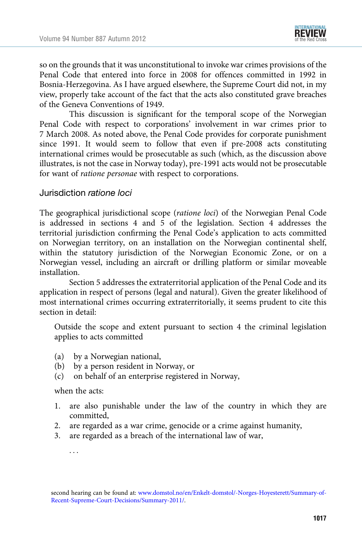

so on the grounds that it was unconstitutional to invoke war crimes provisions of the Penal Code that entered into force in 2008 for offences committed in 1992 in Bosnia-Herzegovina. As I have argued elsewhere, the Supreme Court did not, in my view, properly take account of the fact that the acts also constituted grave breaches of the Geneva Conventions of 1949.

This discussion is significant for the temporal scope of the Norwegian Penal Code with respect to corporations' involvement in war crimes prior to 7 March 2008. As noted above, the Penal Code provides for corporate punishment since 1991. It would seem to follow that even if pre-2008 acts constituting international crimes would be prosecutable as such (which, as the discussion above illustrates, is not the case in Norway today), pre-1991 acts would not be prosecutable for want of ratione personae with respect to corporations.

Jurisdiction ratione loci

The geographical jurisdictional scope (ratione loci) of the Norwegian Penal Code is addressed in sections 4 and 5 of the legislation. Section 4 addresses the territorial jurisdiction confirming the Penal Code's application to acts committed on Norwegian territory, on an installation on the Norwegian continental shelf, within the statutory jurisdiction of the Norwegian Economic Zone, or on a Norwegian vessel, including an aircraft or drilling platform or similar moveable installation.

Section 5 addresses the extraterritorial application of the Penal Code and its application in respect of persons (legal and natural). Given the greater likelihood of most international crimes occurring extraterritorially, it seems prudent to cite this section in detail:

Outside the scope and extent pursuant to section 4 the criminal legislation applies to acts committed

- (a) by a Norwegian national,
- (b) by a person resident in Norway, or
- (c) on behalf of an enterprise registered in Norway,

when the acts:

- 1. are also punishable under the law of the country in which they are committed,
- 2. are regarded as a war crime, genocide or a crime against humanity,
- 3. are regarded as a breach of the international law of war,

...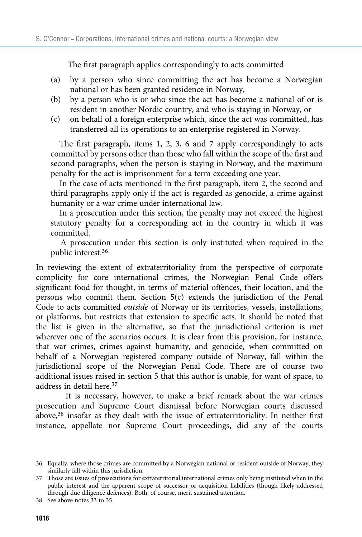The first paragraph applies correspondingly to acts committed

- (a) by a person who since committing the act has become a Norwegian national or has been granted residence in Norway,
- (b) by a person who is or who since the act has become a national of or is resident in another Nordic country, and who is staying in Norway, or
- (c) on behalf of a foreign enterprise which, since the act was committed, has transferred all its operations to an enterprise registered in Norway.

The first paragraph, items 1, 2, 3, 6 and 7 apply correspondingly to acts committed by persons other than those who fall within the scope of the first and second paragraphs, when the person is staying in Norway, and the maximum penalty for the act is imprisonment for a term exceeding one year.

In the case of acts mentioned in the first paragraph, item 2, the second and third paragraphs apply only if the act is regarded as genocide, a crime against humanity or a war crime under international law.

In a prosecution under this section, the penalty may not exceed the highest statutory penalty for a corresponding act in the country in which it was committed.

A prosecution under this section is only instituted when required in the public interest.36

In reviewing the extent of extraterritoriality from the perspective of corporate complicity for core international crimes, the Norwegian Penal Code offers significant food for thought, in terms of material offences, their location, and the persons who commit them. Section 5(c) extends the jurisdiction of the Penal Code to acts committed outside of Norway or its territories, vessels, installations, or platforms, but restricts that extension to specific acts. It should be noted that the list is given in the alternative, so that the jurisdictional criterion is met wherever one of the scenarios occurs. It is clear from this provision, for instance, that war crimes, crimes against humanity, and genocide, when committed on behalf of a Norwegian registered company outside of Norway, fall within the jurisdictional scope of the Norwegian Penal Code. There are of course two additional issues raised in section 5 that this author is unable, for want of space, to address in detail here.37

It is necessary, however, to make a brief remark about the war crimes prosecution and Supreme Court dismissal before Norwegian courts discussed above,<sup>38</sup> insofar as they dealt with the issue of extraterritoriality. In neither first instance, appellate nor Supreme Court proceedings, did any of the courts

<sup>36</sup> Equally, where those crimes are committed by a Norwegian national or resident outside of Norway, they similarly fall within this jurisdiction.

<sup>37</sup> Those are issues of prosecutions for extraterritorial international crimes only being instituted when in the public interest and the apparent scope of successor or acquisition liabilities (though likely addressed through due diligence defences). Both, of course, merit sustained attention.

<sup>38</sup> See above notes 33 to 35.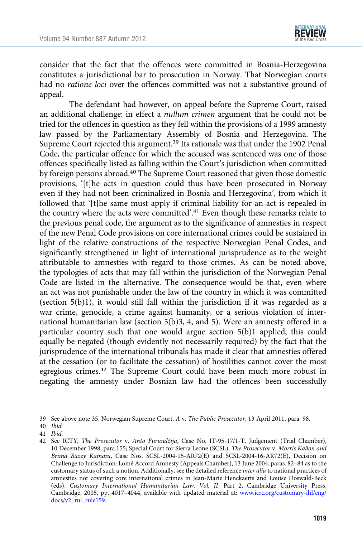consider that the fact that the offences were committed in Bosnia-Herzegovina constitutes a jurisdictional bar to prosecution in Norway. That Norwegian courts had no ratione loci over the offences committed was not a substantive ground of appeal.

The defendant had however, on appeal before the Supreme Court, raised an additional challenge: in effect a nullum crimen argument that he could not be tried for the offences in question as they fell within the provisions of a 1999 amnesty law passed by the Parliamentary Assembly of Bosnia and Herzegovina. The Supreme Court rejected this argument.39 Its rationale was that under the 1902 Penal Code, the particular offence for which the accused was sentenced was one of those offences specifically listed as falling within the Court's jurisdiction when committed by foreign persons abroad.40 The Supreme Court reasoned that given those domestic provisions, '[t]he acts in question could thus have been prosecuted in Norway even if they had not been criminalized in Bosnia and Herzegovina', from which it followed that '[t]he same must apply if criminal liability for an act is repealed in the country where the acts were committed'. <sup>41</sup> Even though these remarks relate to the previous penal code, the argument as to the significance of amnesties in respect of the new Penal Code provisions on core international crimes could be sustained in light of the relative constructions of the respective Norwegian Penal Codes, and significantly strengthened in light of international jurisprudence as to the weight attributable to amnesties with regard to those crimes. As can be noted above, the typologies of acts that may fall within the jurisdiction of the Norwegian Penal Code are listed in the alternative. The consequence would be that, even where an act was not punishable under the law of the country in which it was committed (section  $5(b)1$ ), it would still fall within the jurisdiction if it was regarded as a war crime, genocide, a crime against humanity, or a serious violation of international humanitarian law (section 5(b)3, 4, and 5). Were an amnesty offered in a particular country such that one would argue section 5(b)1 applied, this could equally be negated (though evidently not necessarily required) by the fact that the jurisprudence of the international tribunals has made it clear that amnesties offered at the cessation (or to facilitate the cessation) of hostilities cannot cover the most egregious crimes.42 The Supreme Court could have been much more robust in negating the amnesty under Bosnian law had the offences been successfully

<sup>39</sup> See above note 35. Norwegian Supreme Court, A v. The Public Prosecutor, 13 April 2011, para. 98.

<sup>40</sup> Ibid.

<sup>41</sup> Ibid.

<sup>42</sup> See ICTY, The Prosecutor v. Anto Furundžija, Case No. IT-95-17/1-T, Judgement (Trial Chamber), 10 December 1998, para.155; Special Court for Sierra Leone (SCSL), The Prosecutor v. Morris Kallon and Brima Bazzy Kamara, Case Nos. SCSL-2004-15-AR72(E) and SCSL-2004-16-AR72(E), Decision on Challenge to Jurisdiction: Lomé Accord Amnesty (Appeals Chamber), 13 June 2004, paras. 82–84 as to the customary status of such a notion. Additionally, see the detailed reference inter alia to national practices of amnesties not covering core international crimes in Jean-Marie Henckaerts and Louise Doswald-Beck (eds), Customary International Humanitarian Law, Vol. II, Part 2, Cambridge University Press, Cambridge, 2005, pp. 4017–4044, available with updated material at: [www.icrc.org/customary-ihl/eng/](http://www.icrc.org/customary-ihl/eng/docs/v2_rul_rule159) [docs/v2\\_rul\\_rule159](http://www.icrc.org/customary-ihl/eng/docs/v2_rul_rule159).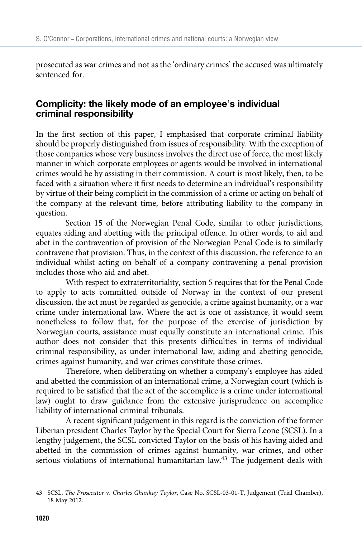prosecuted as war crimes and not as the 'ordinary crimes' the accused was ultimately sentenced for.

# Complicity: the likely mode of an employee*'*s individual criminal responsibility

In the first section of this paper, I emphasised that corporate criminal liability should be properly distinguished from issues of responsibility. With the exception of those companies whose very business involves the direct use of force, the most likely manner in which corporate employees or agents would be involved in international crimes would be by assisting in their commission. A court is most likely, then, to be faced with a situation where it first needs to determine an individual's responsibility by virtue of their being complicit in the commission of a crime or acting on behalf of the company at the relevant time, before attributing liability to the company in question.

Section 15 of the Norwegian Penal Code, similar to other jurisdictions, equates aiding and abetting with the principal offence. In other words, to aid and abet in the contravention of provision of the Norwegian Penal Code is to similarly contravene that provision. Thus, in the context of this discussion, the reference to an individual whilst acting on behalf of a company contravening a penal provision includes those who aid and abet.

With respect to extraterritoriality, section 5 requires that for the Penal Code to apply to acts committed outside of Norway in the context of our present discussion, the act must be regarded as genocide, a crime against humanity, or a war crime under international law. Where the act is one of assistance, it would seem nonetheless to follow that, for the purpose of the exercise of jurisdiction by Norwegian courts, assistance must equally constitute an international crime. This author does not consider that this presents difficulties in terms of individual criminal responsibility, as under international law, aiding and abetting genocide, crimes against humanity, and war crimes constitute those crimes.

Therefore, when deliberating on whether a company's employee has aided and abetted the commission of an international crime, a Norwegian court (which is required to be satisfied that the act of the accomplice is a crime under international law) ought to draw guidance from the extensive jurisprudence on accomplice liability of international criminal tribunals.

A recent significant judgement in this regard is the conviction of the former Liberian president Charles Taylor by the Special Court for Sierra Leone (SCSL). In a lengthy judgement, the SCSL convicted Taylor on the basis of his having aided and abetted in the commission of crimes against humanity, war crimes, and other serious violations of international humanitarian law.<sup>43</sup> The judgement deals with

<sup>43</sup> SCSL, The Prosecutor v. Charles Ghankay Taylor, Case No. SCSL-03-01-T, Judgement (Trial Chamber), 18 May 2012.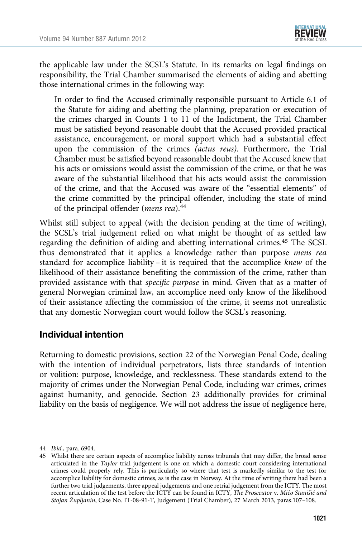the applicable law under the SCSL's Statute. In its remarks on legal findings on responsibility, the Trial Chamber summarised the elements of aiding and abetting those international crimes in the following way:

In order to find the Accused criminally responsible pursuant to Article 6.1 of the Statute for aiding and abetting the planning, preparation or execution of the crimes charged in Counts 1 to 11 of the Indictment, the Trial Chamber must be satisfied beyond reasonable doubt that the Accused provided practical assistance, encouragement, or moral support which had a substantial effect upon the commission of the crimes (actus reus). Furthermore, the Trial Chamber must be satisfied beyond reasonable doubt that the Accused knew that his acts or omissions would assist the commission of the crime, or that he was aware of the substantial likelihood that his acts would assist the commission of the crime, and that the Accused was aware of the "essential elements" of the crime committed by the principal offender, including the state of mind of the principal offender (mens rea).<sup>44</sup>

Whilst still subject to appeal (with the decision pending at the time of writing), the SCSL's trial judgement relied on what might be thought of as settled law regarding the definition of aiding and abetting international crimes.45 The SCSL thus demonstrated that it applies a knowledge rather than purpose mens rea standard for accomplice liability – it is required that the accomplice knew of the likelihood of their assistance benefiting the commission of the crime, rather than provided assistance with that specific purpose in mind. Given that as a matter of general Norwegian criminal law, an accomplice need only know of the likelihood of their assistance affecting the commission of the crime, it seems not unrealistic that any domestic Norwegian court would follow the SCSL's reasoning.

# Individual intention

Returning to domestic provisions, section 22 of the Norwegian Penal Code, dealing with the intention of individual perpetrators, lists three standards of intention or volition: purpose, knowledge, and recklessness. These standards extend to the majority of crimes under the Norwegian Penal Code, including war crimes, crimes against humanity, and genocide. Section 23 additionally provides for criminal liability on the basis of negligence. We will not address the issue of negligence here,

<sup>44</sup> Ibid., para. 6904.

<sup>45</sup> Whilst there are certain aspects of accomplice liability across tribunals that may differ, the broad sense articulated in the Taylor trial judgement is one on which a domestic court considering international crimes could properly rely. This is particularly so where that test is markedly similar to the test for accomplice liability for domestic crimes, as is the case in Norway. At the time of writing there had been a further two trial judgements, three appeal judgements and one retrial judgement from the ICTY. The most recent articulation of the test before the ICTY can be found in ICTY, The Prosecutor v. Mićo Stanišić and Stojan Župljanin, Case No. IT-08-91-T, Judgement (Trial Chamber), 27 March 2013, paras.107–108.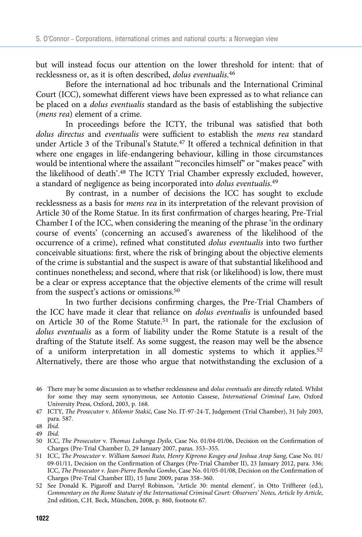but will instead focus our attention on the lower threshold for intent: that of recklessness or, as it is often described, dolus eventualis.<sup>46</sup>

Before the international ad hoc tribunals and the International Criminal Court (ICC), somewhat different views have been expressed as to what reliance can be placed on a dolus eventualis standard as the basis of establishing the subjective (mens rea) element of a crime.

In proceedings before the ICTY, the tribunal was satisfied that both dolus directus and eventualis were sufficient to establish the mens rea standard under Article 3 of the Tribunal's Statute.<sup>47</sup> It offered a technical definition in that where one engages in life-endangering behaviour, killing in those circumstances would be intentional where the assailant '"reconciles himself" or "makes peace" with the likelihood of death'.<sup>48</sup> The ICTY Trial Chamber expressly excluded, however, a standard of negligence as being incorporated into *dolus eventualis*.<sup>49</sup>

By contrast, in a number of decisions the ICC has sought to exclude recklessness as a basis for mens rea in its interpretation of the relevant provision of Article 30 of the Rome Statue. In its first confirmation of charges hearing, Pre-Trial Chamber I of the ICC, when considering the meaning of the phrase 'in the ordinary course of events' (concerning an accused's awareness of the likelihood of the occurrence of a crime), refined what constituted dolus eventualis into two further conceivable situations: first, where the risk of bringing about the objective elements of the crime is substantial and the suspect is aware of that substantial likelihood and continues nonetheless; and second, where that risk (or likelihood) is low, there must be a clear or express acceptance that the objective elements of the crime will result from the suspect's actions or omissions.<sup>50</sup>

In two further decisions confirming charges, the Pre-Trial Chambers of the ICC have made it clear that reliance on *dolus eventualis* is unfounded based on Article 30 of the Rome Statute.<sup>51</sup> In part, the rationale for the exclusion of dolus eventualis as a form of liability under the Rome Statute is a result of the drafting of the Statute itself. As some suggest, the reason may well be the absence of a uniform interpretation in all domestic systems to which it applies.52 Alternatively, there are those who argue that notwithstanding the exclusion of a

<sup>46</sup> There may be some discussion as to whether recklessness and dolus eventualis are directly related. Whilst for some they may seem synonymous, see Antonio Cassese, International Criminal Law, Oxford University Press, Oxford, 2003, p. 168.

<sup>47</sup> ICTY, The Prosecutor v. Milomir Stakić, Case No. IT-97-24-T, Judgement (Trial Chamber), 31 July 2003, para. 587.

<sup>48</sup> Ibid.

<sup>49</sup> Ibid.

<sup>50</sup> ICC, The Prosecutor v. Thomas Lubanga Dyilo, Case No. 01/04-01/06, Decision on the Confirmation of Charges (Pre-Trial Chamber I), 29 January 2007, paras. 353–355.

<sup>51</sup> ICC, The Prosecutor v. William Samoei Ruto, Henry Kiprono Kosgey and Joshua Arap Sang, Case No. 01/ 09-01/11, Decision on the Confirmation of Charges (Pre-Trial Chamber II), 23 January 2012, para. 336; ICC, The Prosecutor v. Jean-Pierre Bemba Gombo, Case No. 01/05-01/08, Decision on the Confirmation of Charges (Pre-Trial Chamber III), 15 June 2009, paras 358–360.

<sup>52</sup> See Donald K. Pigaroff and Darryl Robinson, 'Article 30: mental element', in Otto Triffterer (ed.), Commentary on the Rome Statute of the International Criminal Court: Observers' Notes, Article by Article, 2nd edition, C.H. Beck, München, 2008, p. 860, footnote 67.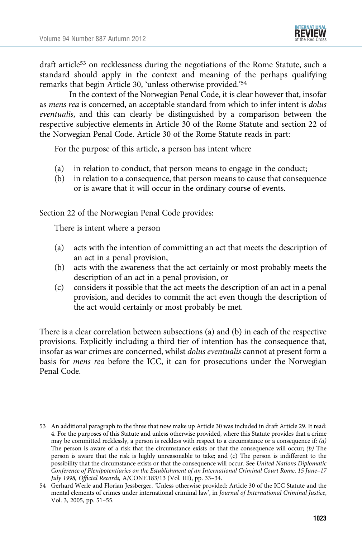

draft article<sup>53</sup> on recklessness during the negotiations of the Rome Statute, such a standard should apply in the context and meaning of the perhaps qualifying remarks that begin Article 30, 'unless otherwise provided.' 54

In the context of the Norwegian Penal Code, it is clear however that, insofar as mens rea is concerned, an acceptable standard from which to infer intent is dolus eventualis, and this can clearly be distinguished by a comparison between the respective subjective elements in Article 30 of the Rome Statute and section 22 of the Norwegian Penal Code. Article 30 of the Rome Statute reads in part:

For the purpose of this article, a person has intent where

- (a) in relation to conduct, that person means to engage in the conduct;
- (b) in relation to a consequence, that person means to cause that consequence or is aware that it will occur in the ordinary course of events.

Section 22 of the Norwegian Penal Code provides:

There is intent where a person

- (a) acts with the intention of committing an act that meets the description of an act in a penal provision,
- (b) acts with the awareness that the act certainly or most probably meets the description of an act in a penal provision, or
- (c) considers it possible that the act meets the description of an act in a penal provision, and decides to commit the act even though the description of the act would certainly or most probably be met.

There is a clear correlation between subsections (a) and (b) in each of the respective provisions. Explicitly including a third tier of intention has the consequence that, insofar as war crimes are concerned, whilst dolus eventualis cannot at present form a basis for mens rea before the ICC, it can for prosecutions under the Norwegian Penal Code.

<sup>53</sup> An additional paragraph to the three that now make up Article 30 was included in draft Article 29. It read: 4. For the purposes of this Statute and unless otherwise provided, where this Statute provides that a crime may be committed recklessly, a person is reckless with respect to a circumstance or a consequence if: (a) The person is aware of a risk that the circumstance exists or that the consequence will occur;  $(b)$  The person is aware that the risk is highly unreasonable to take; and (c) The person is indifferent to the possibility that the circumstance exists or that the consequence will occur. See United Nations Diplomatic Conference of Plenipotentiaries on the Establishment of an International Criminal Court Rome, 15 June–17 July 1998, Official Records, A/CONF.183/13 (Vol. III), pp. 33–34.

<sup>54</sup> Gerhard Werle and Florian Jessberger, 'Unless otherwise provided: Article 30 of the ICC Statute and the mental elements of crimes under international criminal law', in Journal of International Criminal Justice, Vol. 3, 2005, pp. 51–55.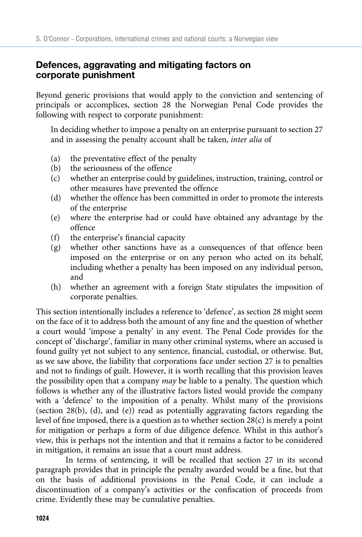## Defences, aggravating and mitigating factors on corporate punishment

Beyond generic provisions that would apply to the conviction and sentencing of principals or accomplices, section 28 the Norwegian Penal Code provides the following with respect to corporate punishment:

In deciding whether to impose a penalty on an enterprise pursuant to section 27 and in assessing the penalty account shall be taken, inter alia of

- (a) the preventative effect of the penalty
- (b) the seriousness of the offence
- (c) whether an enterprise could by guidelines, instruction, training, control or other measures have prevented the offence
- (d) whether the offence has been committed in order to promote the interests of the enterprise
- (e) where the enterprise had or could have obtained any advantage by the offence
- (f) the enterprise's financial capacity
- (g) whether other sanctions have as a consequences of that offence been imposed on the enterprise or on any person who acted on its behalf, including whether a penalty has been imposed on any individual person, and
- (h) whether an agreement with a foreign State stipulates the imposition of corporate penalties.

This section intentionally includes a reference to 'defence', as section 28 might seem on the face of it to address both the amount of any fine and the question of whether a court would 'impose a penalty' in any event. The Penal Code provides for the concept of 'discharge', familiar in many other criminal systems, where an accused is found guilty yet not subject to any sentence, financial, custodial, or otherwise. But, as we saw above, the liability that corporations face under section 27 is to penalties and not to findings of guilt. However, it is worth recalling that this provision leaves the possibility open that a company *may* be liable to a penalty. The question which follows is whether any of the illustrative factors listed would provide the company with a 'defence' to the imposition of a penalty. Whilst many of the provisions (section 28(b), (d), and (e)) read as potentially aggravating factors regarding the level of fine imposed, there is a question as to whether section 28(c) is merely a point for mitigation or perhaps a form of due diligence defence. Whilst in this author's view, this is perhaps not the intention and that it remains a factor to be considered in mitigation, it remains an issue that a court must address.

In terms of sentencing, it will be recalled that section 27 in its second paragraph provides that in principle the penalty awarded would be a fine, but that on the basis of additional provisions in the Penal Code, it can include a discontinuation of a company's activities or the confiscation of proceeds from crime. Evidently these may be cumulative penalties.